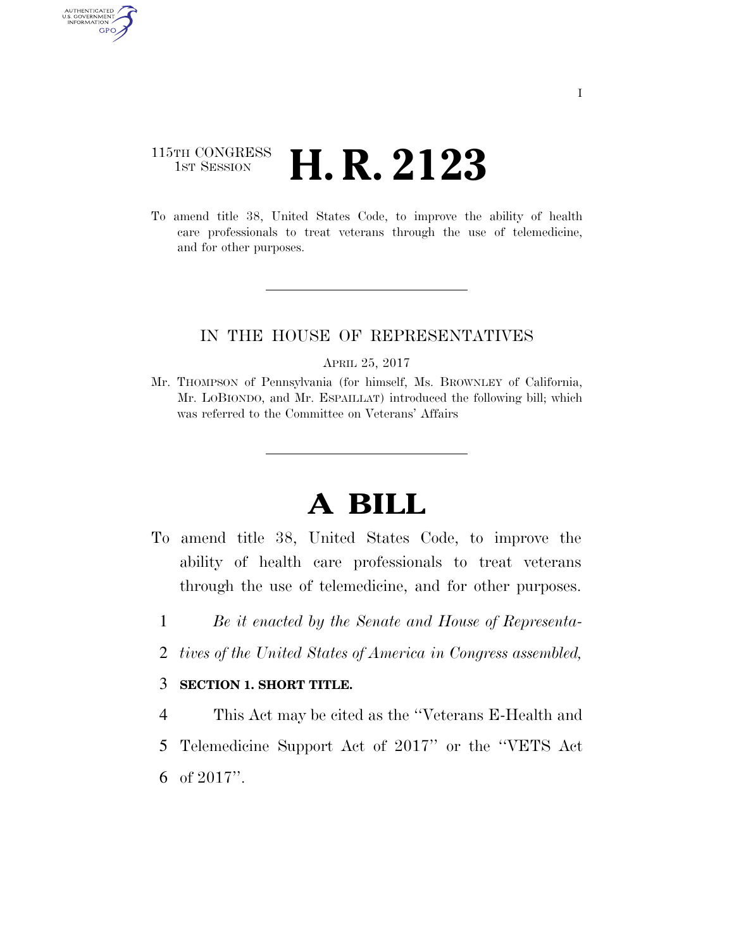### 115TH CONGRESS <sup>TH CONGRESS</sup> **H. R. 2123**

AUTHENTICATED<br>U.S. GOVERNMENT<br>INFORMATION GPO

> To amend title 38, United States Code, to improve the ability of health care professionals to treat veterans through the use of telemedicine, and for other purposes.

#### IN THE HOUSE OF REPRESENTATIVES

APRIL 25, 2017

Mr. THOMPSON of Pennsylvania (for himself, Ms. BROWNLEY of California, Mr. LOBIONDO, and Mr. ESPAILLAT) introduced the following bill; which was referred to the Committee on Veterans' Affairs

# **A BILL**

- To amend title 38, United States Code, to improve the ability of health care professionals to treat veterans through the use of telemedicine, and for other purposes.
	- 1 *Be it enacted by the Senate and House of Representa-*
	- 2 *tives of the United States of America in Congress assembled,*

#### 3 **SECTION 1. SHORT TITLE.**

4 This Act may be cited as the ''Veterans E-Health and

5 Telemedicine Support Act of 2017'' or the ''VETS Act

6 of 2017''.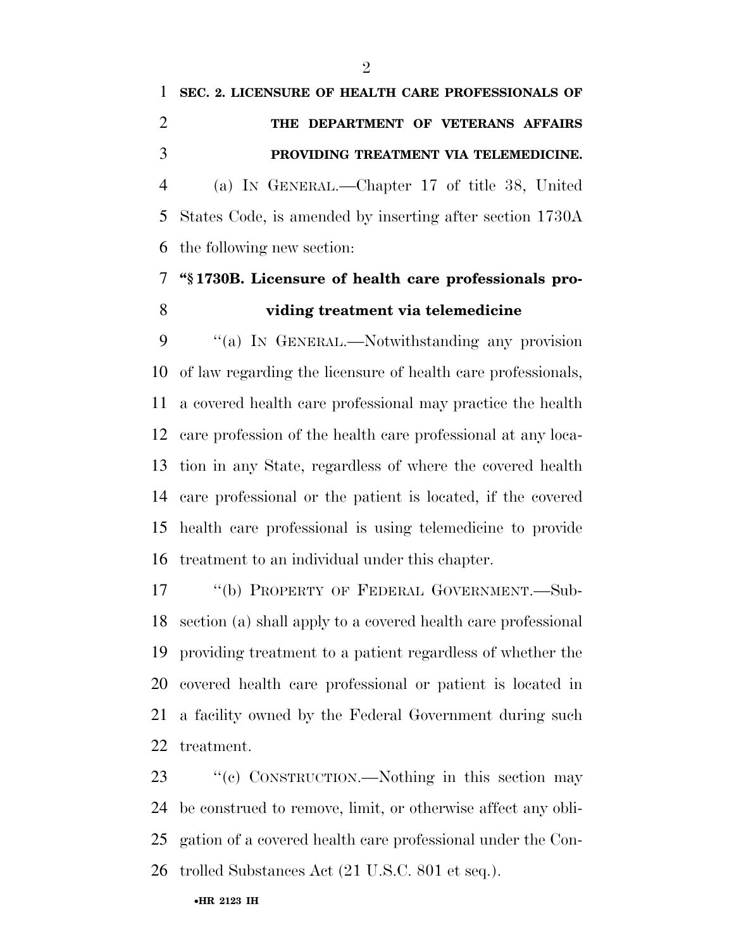# **SEC. 2. LICENSURE OF HEALTH CARE PROFESSIONALS OF THE DEPARTMENT OF VETERANS AFFAIRS PROVIDING TREATMENT VIA TELEMEDICINE.**  (a) IN GENERAL.—Chapter 17 of title 38, United States Code, is amended by inserting after section 1730A the following new section:

### **''§ 1730B. Licensure of health care professionals pro-viding treatment via telemedicine**

 ''(a) IN GENERAL.—Notwithstanding any provision of law regarding the licensure of health care professionals, a covered health care professional may practice the health care profession of the health care professional at any loca- tion in any State, regardless of where the covered health care professional or the patient is located, if the covered health care professional is using telemedicine to provide treatment to an individual under this chapter.

 ''(b) PROPERTY OF FEDERAL GOVERNMENT.—Sub- section (a) shall apply to a covered health care professional providing treatment to a patient regardless of whether the covered health care professional or patient is located in a facility owned by the Federal Government during such treatment.

23 "(c) CONSTRUCTION.—Nothing in this section may be construed to remove, limit, or otherwise affect any obli- gation of a covered health care professional under the Con-trolled Substances Act (21 U.S.C. 801 et seq.).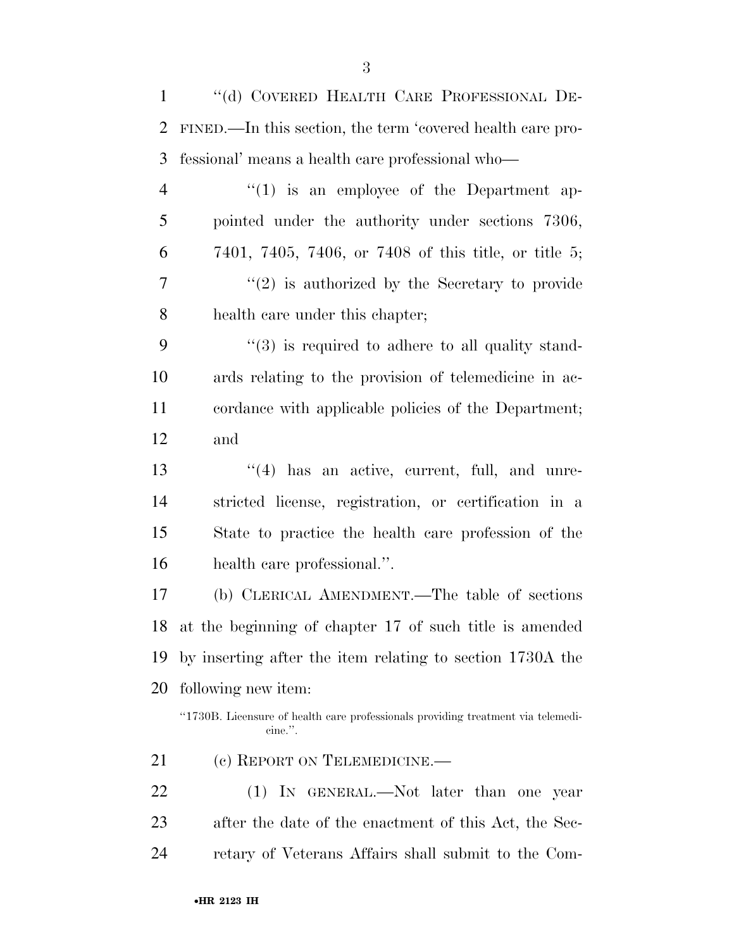''(d) COVERED HEALTH CARE PROFESSIONAL DE- FINED.—In this section, the term 'covered health care pro- fessional' means a health care professional who— 4 "(1) is an employee of the Department ap- pointed under the authority under sections 7306, 7401, 7405, 7406, or 7408 of this title, or title 5; ''(2) is authorized by the Secretary to provide health care under this chapter; 9 "(3) is required to adhere to all quality stand- ards relating to the provision of telemedicine in ac- cordance with applicable policies of the Department; and 13 ''(4) has an active, current, full, and unre- stricted license, registration, or certification in a State to practice the health care profession of the health care professional.''. (b) CLERICAL AMENDMENT.—The table of sections at the beginning of chapter 17 of such title is amended by inserting after the item relating to section 1730A the following new item: "1730B. Licensure of health care professionals providing treatment via telemedicine.''. 21 (c) REPORT ON TELEMEDICINE. 22 (1) In GENERAL.—Not later than one year after the date of the enactment of this Act, the Sec-

retary of Veterans Affairs shall submit to the Com-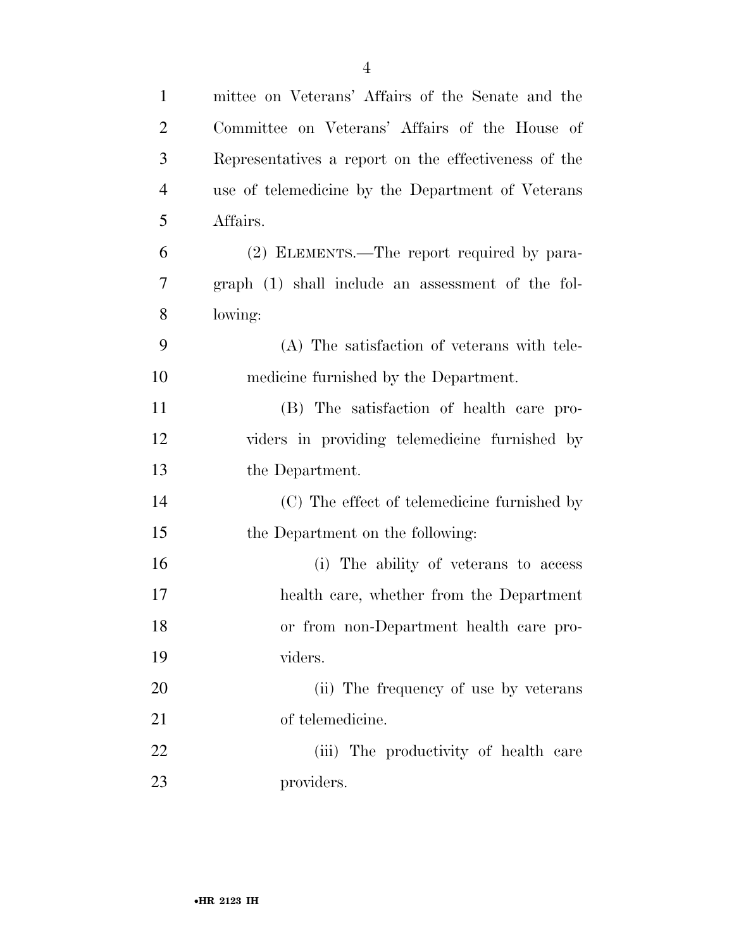| $\mathbf{1}$   | mittee on Veterans' Affairs of the Senate and the    |
|----------------|------------------------------------------------------|
| $\overline{2}$ | Committee on Veterans' Affairs of the House of       |
| 3              | Representatives a report on the effectiveness of the |
| $\overline{4}$ | use of telemedicine by the Department of Veterans    |
| 5              | Affairs.                                             |
| 6              | (2) ELEMENTS.—The report required by para-           |
| $\tau$         | graph (1) shall include an assessment of the fol-    |
| 8              | lowing:                                              |
| 9              | (A) The satisfaction of veterans with tele-          |
| 10             | medicine furnished by the Department.                |
| 11             | (B) The satisfaction of health care pro-             |
| 12             | viders in providing telemedicine furnished by        |
| 13             | the Department.                                      |
| 14             | (C) The effect of telemedicine furnished by          |
| 15             | the Department on the following:                     |
| 16             | (i) The ability of veterans to access                |
| 17             | health care, whether from the Department             |
| 18             | or from non-Department health care pro-              |
| 19             | viders.                                              |
| 20             | (ii) The frequency of use by veterans                |
| 21             | of telemedicine.                                     |
| 22             | (iii) The productivity of health care                |
| 23             | providers.                                           |